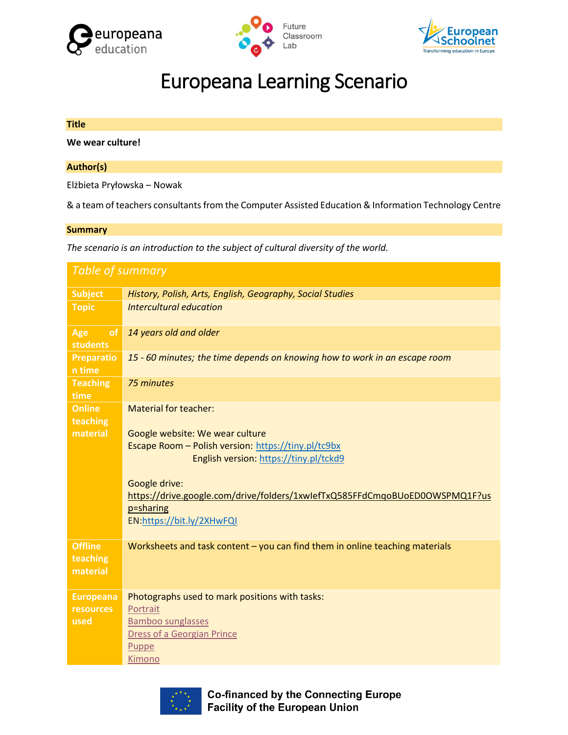





# Europeana Learning Scenario

# **Title We wear culture!**

# **Author(s)**

Elżbieta Pryłowska – Nowak

& a team of teachers consultants from the Computer Assisted Education & Information Technology Centre

#### **Summary**

*The scenario is an introduction to the subject of cultural diversity of the world.*

| <b>Table of summary</b>                 |                                                                                                                                                                                                                                                                                                            |  |  |
|-----------------------------------------|------------------------------------------------------------------------------------------------------------------------------------------------------------------------------------------------------------------------------------------------------------------------------------------------------------|--|--|
| <b>Subject</b>                          | History, Polish, Arts, English, Geography, Social Studies                                                                                                                                                                                                                                                  |  |  |
| <b>Topic</b>                            | Intercultural education                                                                                                                                                                                                                                                                                    |  |  |
| Age<br><sub>of</sub><br><b>students</b> | 14 years old and older                                                                                                                                                                                                                                                                                     |  |  |
| <b>Preparatio</b><br>n time             | 15 - 60 minutes; the time depends on knowing how to work in an escape room                                                                                                                                                                                                                                 |  |  |
| <b>Teaching</b><br>time                 | 75 minutes                                                                                                                                                                                                                                                                                                 |  |  |
| <b>Online</b><br>teaching<br>material   | <b>Material for teacher:</b><br>Google website: We wear culture<br>Escape Room - Polish version: https://tiny.pl/tc9bx<br>English version: https://tiny.pl/tckd9<br>Google drive:<br>https://drive.google.com/drive/folders/1xwlefTxQ585FFdCmqoBUoED0OWSPMQ1F?us<br>p=sharing<br>EN:https://bit.ly/2XHwFQI |  |  |
| <b>Offline</b><br>teaching<br>material  | Worksheets and task content $-$ you can find them in online teaching materials                                                                                                                                                                                                                             |  |  |
| <b>Europeana</b>                        | Photographs used to mark positions with tasks:                                                                                                                                                                                                                                                             |  |  |
| <b>resources</b>                        | Portrait                                                                                                                                                                                                                                                                                                   |  |  |
| used                                    | <b>Bamboo sunglasses</b>                                                                                                                                                                                                                                                                                   |  |  |
|                                         | Dress of a Georgian Prince                                                                                                                                                                                                                                                                                 |  |  |
|                                         | Puppe                                                                                                                                                                                                                                                                                                      |  |  |
|                                         | Kimono                                                                                                                                                                                                                                                                                                     |  |  |



**Co-financed by the Connecting Europe Facility of the European Union**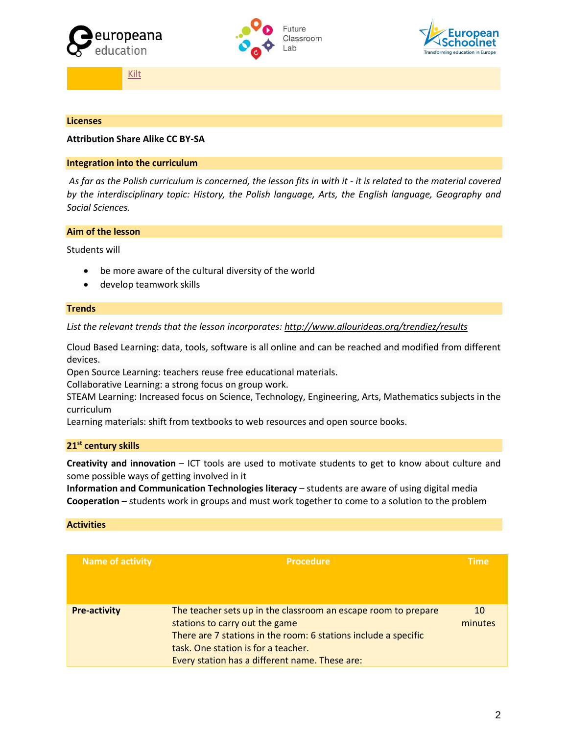





[Kilt](https://www.europeana.eu/portal/pl/record/2058618/object_KUAS_22179479.html?q=Kilt+med+sikkerhedsnål#dcId=1561115222065&p=1)

#### **Licenses**

# **Attribution Share Alike CC BY-SA**

#### **Integration into the curriculum**

*As far as the Polish curriculum is concerned, the lesson fits in with it - it is related to the material covered by the interdisciplinary topic: History, the Polish language, Arts, the English language, Geography and Social Sciences.* 

# **Aim of the lesson**

Students will

- be more aware of the cultural diversity of the world
- develop teamwork skills

#### **Trends**

*List the relevant trends that the lesson incorporates[: http://www.allourideas.org/trendiez/results](http://www.allourideas.org/trendiez/results)*

Cloud Based Learning: data, tools, software is all online and can be reached and modified from different devices.

Open Source Learning: teachers reuse free educational materials.

Collaborative Learning: a strong focus on group work.

STEAM Learning: Increased focus on Science, Technology, Engineering, Arts, Mathematics subjects in the curriculum

Learning materials: shift from textbooks to web resources and open source books.

## **21st century skills**

**Creativity and innovation** – ICT tools are used to motivate students to get to know about culture and some possible ways of getting involved in it

**Information and Communication Technologies literacy** – students are aware of using digital media **Cooperation** – students work in groups and must work together to come to a solution to the problem

#### **Activities**

| <b>Name of activity</b> | <b>Procedure</b>                                                                                                                                                                                                                                             | <b>Time</b>   |
|-------------------------|--------------------------------------------------------------------------------------------------------------------------------------------------------------------------------------------------------------------------------------------------------------|---------------|
| <b>Pre-activity</b>     | The teacher sets up in the classroom an escape room to prepare<br>stations to carry out the game<br>There are 7 stations in the room: 6 stations include a specific<br>task. One station is for a teacher.<br>Every station has a different name. These are: | 10<br>minutes |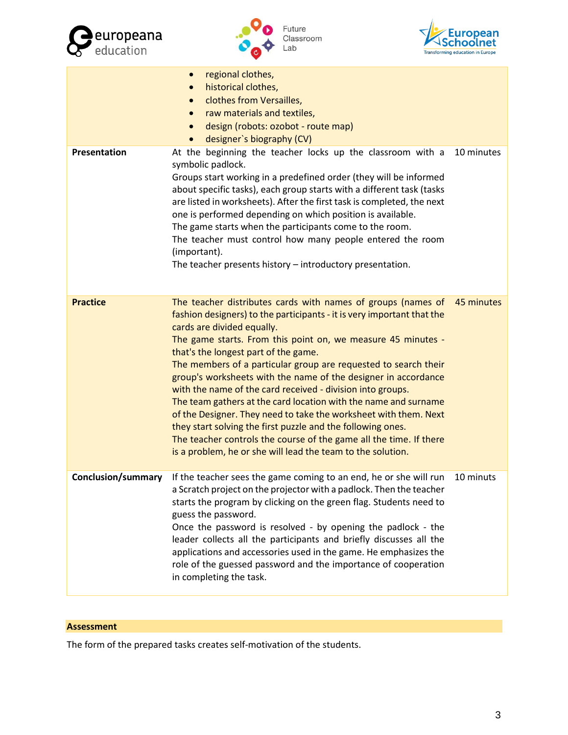





|                    | regional clothes,<br>$\bullet$<br>historical clothes,<br>$\bullet$<br>clothes from Versailles,<br>$\bullet$<br>raw materials and textiles,<br>$\bullet$<br>design (robots: ozobot - route map)<br>$\bullet$<br>designer's biography (CV)<br>$\bullet$                                                                                                                                                                                                                                                                                                                                                                                                                                                                                                                                                                      |            |
|--------------------|----------------------------------------------------------------------------------------------------------------------------------------------------------------------------------------------------------------------------------------------------------------------------------------------------------------------------------------------------------------------------------------------------------------------------------------------------------------------------------------------------------------------------------------------------------------------------------------------------------------------------------------------------------------------------------------------------------------------------------------------------------------------------------------------------------------------------|------------|
| Presentation       | At the beginning the teacher locks up the classroom with a<br>symbolic padlock.<br>Groups start working in a predefined order (they will be informed<br>about specific tasks), each group starts with a different task (tasks<br>are listed in worksheets). After the first task is completed, the next<br>one is performed depending on which position is available.<br>The game starts when the participants come to the room.<br>The teacher must control how many people entered the room<br>(important).<br>The teacher presents history - introductory presentation.                                                                                                                                                                                                                                                 | 10 minutes |
| <b>Practice</b>    | The teacher distributes cards with names of groups (names of<br>fashion designers) to the participants - it is very important that the<br>cards are divided equally.<br>The game starts. From this point on, we measure 45 minutes -<br>that's the longest part of the game.<br>The members of a particular group are requested to search their<br>group's worksheets with the name of the designer in accordance<br>with the name of the card received - division into groups.<br>The team gathers at the card location with the name and surname<br>of the Designer. They need to take the worksheet with them. Next<br>they start solving the first puzzle and the following ones.<br>The teacher controls the course of the game all the time. If there<br>is a problem, he or she will lead the team to the solution. | 45 minutes |
| Conclusion/summary | If the teacher sees the game coming to an end, he or she will run<br>a Scratch project on the projector with a padlock. Then the teacher<br>starts the program by clicking on the green flag. Students need to<br>guess the password.<br>Once the password is resolved - by opening the padlock - the<br>leader collects all the participants and briefly discusses all the<br>applications and accessories used in the game. He emphasizes the<br>role of the guessed password and the importance of cooperation<br>in completing the task.                                                                                                                                                                                                                                                                               | 10 minuts  |

# **Assessment**

The form of the prepared tasks creates self-motivation of the students.